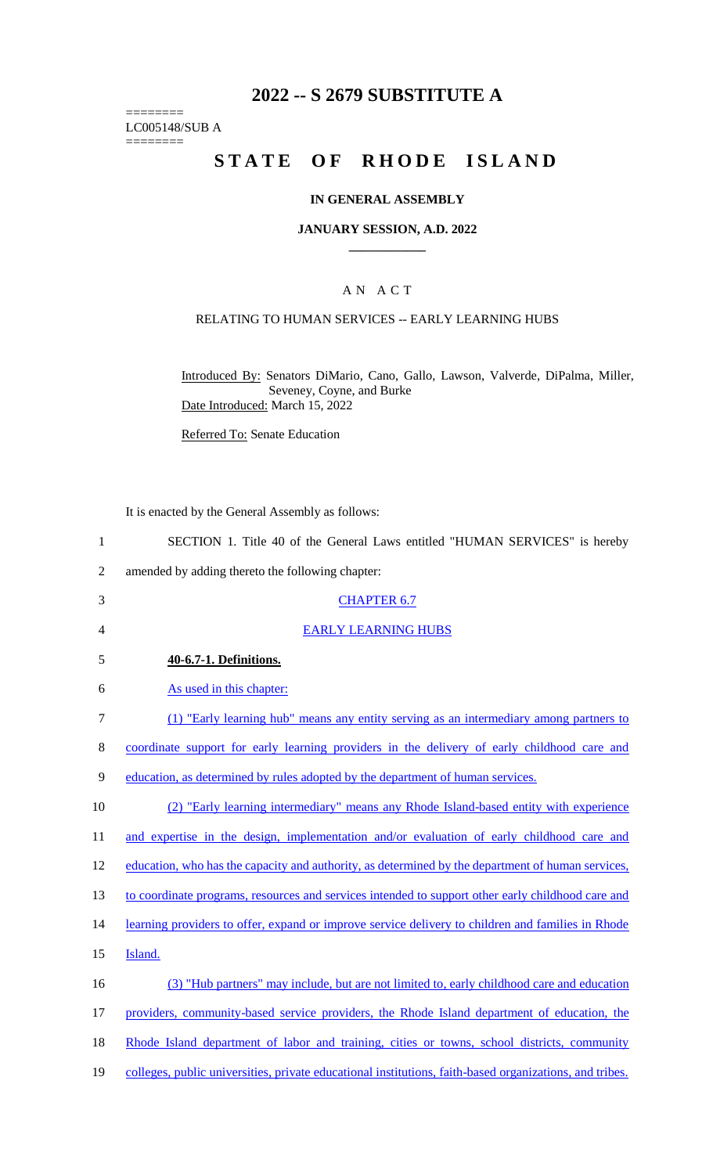# **2022 -- S 2679 SUBSTITUTE A**

LC005148/SUB A

========

========

# **STATE OF RHODE ISLAND**

#### **IN GENERAL ASSEMBLY**

#### **JANUARY SESSION, A.D. 2022 \_\_\_\_\_\_\_\_\_\_\_\_**

#### A N A C T

### RELATING TO HUMAN SERVICES -- EARLY LEARNING HUBS

Introduced By: Senators DiMario, Cano, Gallo, Lawson, Valverde, DiPalma, Miller, Seveney, Coyne, and Burke Date Introduced: March 15, 2022

Referred To: Senate Education

It is enacted by the General Assembly as follows:

3 CHAPTER 6.7

| SECTION 1. Title 40 of the General Laws entitled "HUMAN SERVICES" is hereby |
|-----------------------------------------------------------------------------|
| amended by adding thereto the following chapter:                            |

| $\overline{4}$ | <b>EARLY LEARNING HUBS</b>                                                                              |
|----------------|---------------------------------------------------------------------------------------------------------|
| 5              | 40-6.7-1. Definitions.                                                                                  |
| 6              | As used in this chapter:                                                                                |
| $\tau$         | (1) "Early learning hub" means any entity serving as an intermediary among partners to                  |
| 8              | coordinate support for early learning providers in the delivery of early childhood care and             |
| 9              | education, as determined by rules adopted by the department of human services.                          |
| 10             | (2) "Early learning intermediary" means any Rhode Island-based entity with experience                   |
| 11             | and expertise in the design, implementation and/or evaluation of early childhood care and               |
| 12             | education, who has the capacity and authority, as determined by the department of human services,       |
| 13             | to coordinate programs, resources and services intended to support other early childhood care and       |
| 14             | learning providers to offer, expand or improve service delivery to children and families in Rhode       |
| 15             | Island.                                                                                                 |
| 16             | (3) "Hub partners" may include, but are not limited to, early childhood care and education              |
| 17             | providers, community-based service providers, the Rhode Island department of education, the             |
| 18             | Rhode Island department of labor and training, cities or towns, school districts, community             |
| 19             | colleges, public universities, private educational institutions, faith-based organizations, and tribes. |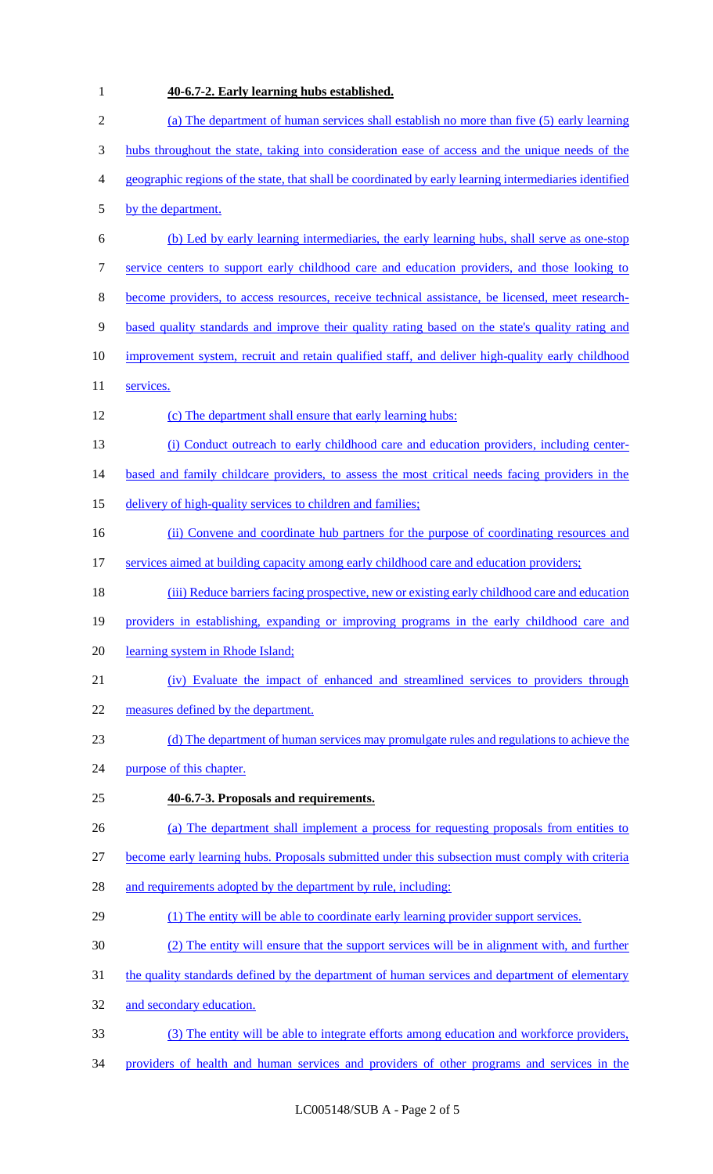### 1 **40-6.7-2. Early learning hubs established.**

| $\overline{2}$ | (a) The department of human services shall establish no more than five (5) early learning              |
|----------------|--------------------------------------------------------------------------------------------------------|
| 3              | hubs throughout the state, taking into consideration ease of access and the unique needs of the        |
| $\overline{4}$ | geographic regions of the state, that shall be coordinated by early learning intermediaries identified |
| 5              | by the department.                                                                                     |
| 6              | (b) Led by early learning intermediaries, the early learning hubs, shall serve as one-stop             |
| $\tau$         | service centers to support early childhood care and education providers, and those looking to          |
| $8\,$          | become providers, to access resources, receive technical assistance, be licensed, meet research-       |
| $\mathbf{9}$   | based quality standards and improve their quality rating based on the state's quality rating and       |
| 10             | improvement system, recruit and retain qualified staff, and deliver high-quality early childhood       |
| 11             | services.                                                                                              |
| 12             | (c) The department shall ensure that early learning hubs:                                              |
| 13             | (i) Conduct outreach to early childhood care and education providers, including center-                |
| 14             | based and family childcare providers, to assess the most critical needs facing providers in the        |
| 15             | delivery of high-quality services to children and families;                                            |
| 16             | (ii) Convene and coordinate hub partners for the purpose of coordinating resources and                 |
| 17             | services aimed at building capacity among early childhood care and education providers;                |
| 18             | (iii) Reduce barriers facing prospective, new or existing early childhood care and education           |
| 19             | providers in establishing, expanding or improving programs in the early childhood care and             |
| 20             | learning system in Rhode Island;                                                                       |
| 21             | (iv) Evaluate the impact of enhanced and streamlined services to providers through                     |
| 22             | measures defined by the department.                                                                    |
| 23             | (d) The department of human services may promulgate rules and regulations to achieve the               |
| 24             | purpose of this chapter.                                                                               |
| 25             | 40-6.7-3. Proposals and requirements.                                                                  |
| 26             | (a) The department shall implement a process for requesting proposals from entities to                 |
| 27             | become early learning hubs. Proposals submitted under this subsection must comply with criteria        |
| 28             | and requirements adopted by the department by rule, including:                                         |
| 29             | (1) The entity will be able to coordinate early learning provider support services.                    |
| 30             | (2) The entity will ensure that the support services will be in alignment with, and further            |
| 31             | the quality standards defined by the department of human services and department of elementary         |
| 32             | and secondary education.                                                                               |
| 33             | (3) The entity will be able to integrate efforts among education and workforce providers,              |
| 34             | providers of health and human services and providers of other programs and services in the             |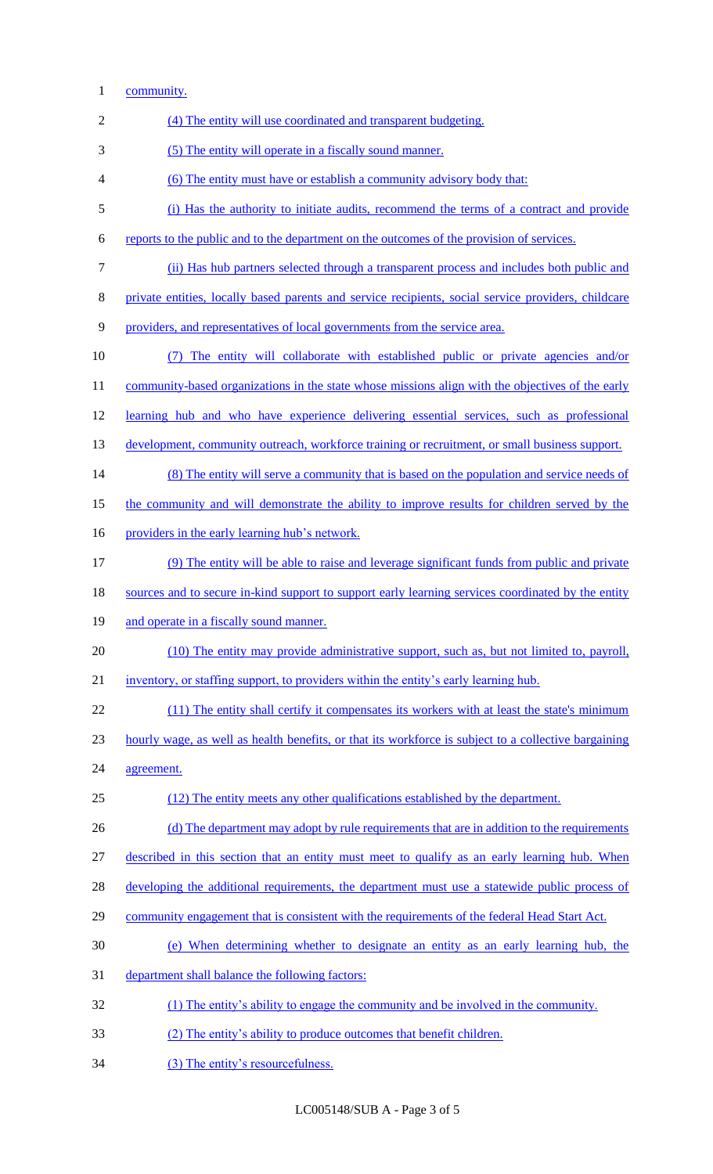- community.
- (4) The entity will use coordinated and transparent budgeting. (5) The entity will operate in a fiscally sound manner. (6) The entity must have or establish a community advisory body that: (i) Has the authority to initiate audits, recommend the terms of a contract and provide reports to the public and to the department on the outcomes of the provision of services. (ii) Has hub partners selected through a transparent process and includes both public and private entities, locally based parents and service recipients, social service providers, childcare providers, and representatives of local governments from the service area. (7) The entity will collaborate with established public or private agencies and/or 11 community-based organizations in the state whose missions align with the objectives of the early learning hub and who have experience delivering essential services, such as professional 13 development, community outreach, workforce training or recruitment, or small business support. 14 (8) The entity will serve a community that is based on the population and service needs of the community and will demonstrate the ability to improve results for children served by the 16 providers in the early learning hub's network. (9) The entity will be able to raise and leverage significant funds from public and private 18 sources and to secure in-kind support to support early learning services coordinated by the entity 19 and operate in a fiscally sound manner. (10) The entity may provide administrative support, such as, but not limited to, payroll, inventory, or staffing support, to providers within the entity's early learning hub. 22 (11) The entity shall certify it compensates its workers with at least the state's minimum hourly wage, as well as health benefits, or that its workforce is subject to a collective bargaining agreement. (12) The entity meets any other qualifications established by the department. 26 (d) The department may adopt by rule requirements that are in addition to the requirements described in this section that an entity must meet to qualify as an early learning hub. When 28 developing the additional requirements, the department must use a statewide public process of community engagement that is consistent with the requirements of the federal Head Start Act. (e) When determining whether to designate an entity as an early learning hub, the department shall balance the following factors: (1) The entity's ability to engage the community and be involved in the community. (2) The entity's ability to produce outcomes that benefit children. 34 (3) The entity's resourcefulness.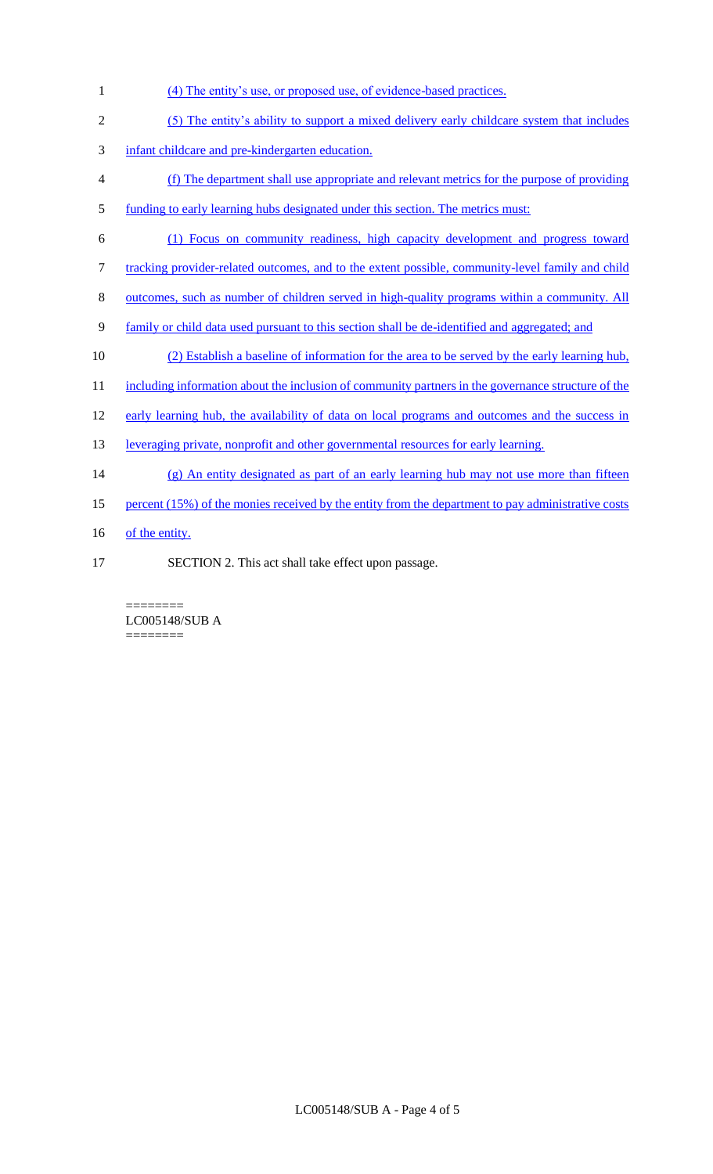- 1 (4) The entity's use, or proposed use, of evidence-based practices.
- 2 (5) The entity's ability to support a mixed delivery early childcare system that includes
- 3 infant childcare and pre-kindergarten education.
- 4 (f) The department shall use appropriate and relevant metrics for the purpose of providing
- 5 funding to early learning hubs designated under this section. The metrics must:
- 6 (1) Focus on community readiness, high capacity development and progress toward
- 7 tracking provider-related outcomes, and to the extent possible, community-level family and child
- 8 outcomes, such as number of children served in high-quality programs within a community. All
- 9 family or child data used pursuant to this section shall be de-identified and aggregated; and
- 10 (2) Establish a baseline of information for the area to be served by the early learning hub,
- 11 including information about the inclusion of community partners in the governance structure of the
- 12 early learning hub, the availability of data on local programs and outcomes and the success in
- 13 leveraging private, nonprofit and other governmental resources for early learning.
- 14 (g) An entity designated as part of an early learning hub may not use more than fifteen
- 15 percent (15%) of the monies received by the entity from the department to pay administrative costs
- 16 of the entity.
- 17 SECTION 2. This act shall take effect upon passage.

======== LC005148/SUB A ========